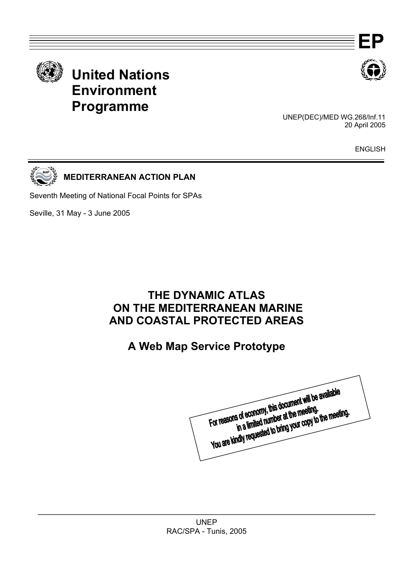



 UNEP(DEC)/MED WG.268/Inf.11 20 April 2005

ENGLISH



**MEDITERRANEAN ACTION PLAN** 

Seventh Meeting of National Focal Points for SPAs

Seville, 31 May - 3 June 2005

# **THE DYNAMIC ATLAS ON THE MEDITERRANEAN MARINE AND COASTAL PROTECTED AREAS**

# **A Web Map Service Prototype**

For reasons of economy, this document will be available<br>For reasons of economy, this document will be available is of economy, this document will be<br>in a limited number at the meeting.<br>in a limited number at the meeting. For reasons of economy, this document will be meeting.<br>For reasons of economy, this document will be meeting.<br>You are kindly requested to bring your copy to the meeting.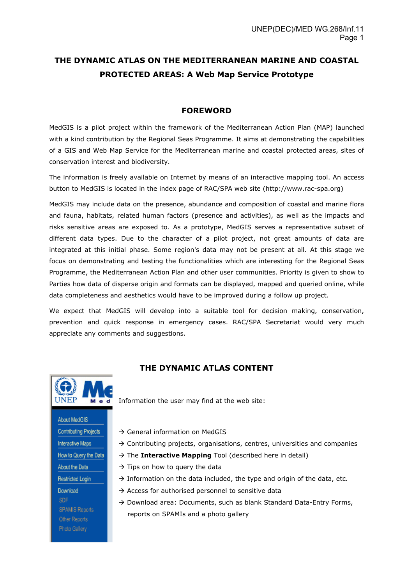# **THE DYNAMIC ATLAS ON THE MEDITERRANEAN MARINE AND COASTAL PROTECTED AREAS: A Web Map Service Prototype**

#### **FOREWORD**

MedGIS is a pilot project within the framework of the Mediterranean Action Plan (MAP) launched with a kind contribution by the Regional Seas Programme. It aims at demonstrating the capabilities of a GIS and Web Map Service for the Mediterranean marine and coastal protected areas, sites of conservation interest and biodiversity.

The information is freely available on Internet by means of an interactive mapping tool. An access button to MedGIS is located in the index page of RAC/SPA web site (http://www.rac-spa.org)

MedGIS may include data on the presence, abundance and composition of coastal and marine flora and fauna, habitats, related human factors (presence and activities), as well as the impacts and risks sensitive areas are exposed to. As a prototype, MedGIS serves a representative subset of different data types. Due to the character of a pilot project, not great amounts of data are integrated at this initial phase. Some region's data may not be present at all. At this stage we focus on demonstrating and testing the functionalities which are interesting for the Regional Seas Programme, the Mediterranean Action Plan and other user communities. Priority is given to show to Parties how data of disperse origin and formats can be displayed, mapped and queried online, while data completeness and aesthetics would have to be improved during a follow up project.

We expect that MedGIS will develop into a suitable tool for decision making, conservation, prevention and quick response in emergency cases. RAC/SPA Secretariat would very much appreciate any comments and suggestions.



**THE DYNAMIC ATLAS CONTENT**

Information the user may find at the web site:

- About MedGIS **Contributing Projects** Interactive Maps How to Query the Data About the Data **Restricted Login** Download **SDF SPAMIS Reports** Other Reports Photo Gallery
- $\rightarrow$  General information on MedGIS
- $\rightarrow$  Contributing projects, organisations, centres, universities and companies
- $\rightarrow$  The **Interactive Mapping** Tool (described here in detail)
- $\rightarrow$  Tips on how to query the data
- $\rightarrow$  Information on the data included, the type and origin of the data, etc.
- $\rightarrow$  Access for authorised personnel to sensitive data
- $\rightarrow$  Download area: Documents, such as blank Standard Data-Entry Forms, reports on SPAMIs and a photo gallery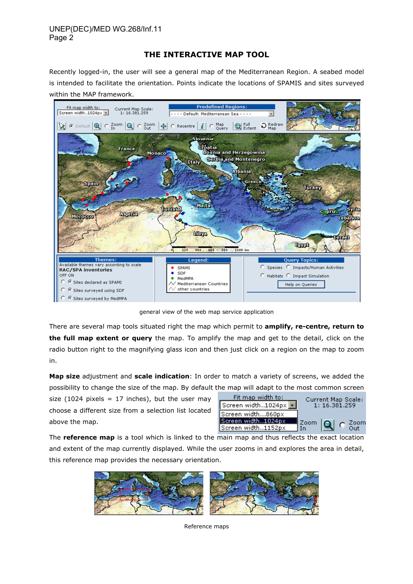# **THE INTERACTIVE MAP TOOL**

Recently logged-in, the user will see a general map of the Mediterranean Region. A seabed model is intended to facilitate the orientation. Points indicate the locations of SPAMIS and sites surveyed within the MAP framework.



general view of the web map service application

There are several map tools situated right the map which permit to **amplify, re-centre, return to the full map extent or query** the map. To amplify the map and get to the detail, click on the radio button right to the magnifying glass icon and then just click on a region on the map to zoom in.

**Map size** adjustment and **scale indication**: In order to match a variety of screens, we added the possibility to change the size of the map. By default the map will adapt to the most common screen

size (1024 pixels = 17 inches), but the user may choose a different size from a selection list located above the map.

| <u>Fit map width to:</u>       | Current Map Scale:                    |  |  |  |  |
|--------------------------------|---------------------------------------|--|--|--|--|
| Screen width1024px $\boxed{1}$ | 1: 16.381.259                         |  |  |  |  |
| Screen width860px              |                                       |  |  |  |  |
| Screen width1024px             |                                       |  |  |  |  |
| Screen width1152px             | $\frac{200m}{10}$ Q $\frac{200m}{00}$ |  |  |  |  |

The **reference map** is a tool which is linked to the main map and thus reflects the exact location and extent of the map currently displayed. While the user zooms in and explores the area in detail, this reference map provides the necessary orientation.



Reference maps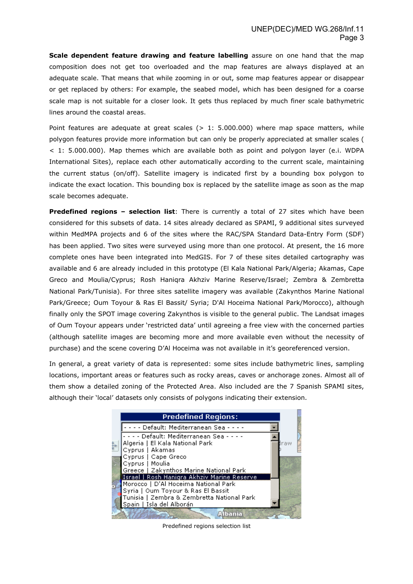**Scale dependent feature drawing and feature labelling** assure on one hand that the map composition does not get too overloaded and the map features are always displayed at an adequate scale. That means that while zooming in or out, some map features appear or disappear or get replaced by others: For example, the seabed model, which has been designed for a coarse scale map is not suitable for a closer look. It gets thus replaced by much finer scale bathymetric lines around the coastal areas.

Point features are adequate at great scales  $(> 1: 5.000.000)$  where map space matters, while polygon features provide more information but can only be properly appreciated at smaller scales ( < 1: 5.000.000). Map themes which are available both as point and polygon layer (e.i. WDPA International Sites), replace each other automatically according to the current scale, maintaining the current status (on/off). Satellite imagery is indicated first by a bounding box polygon to indicate the exact location. This bounding box is replaced by the satellite image as soon as the map scale becomes adequate.

**Predefined regions – selection list**: There is currently a total of 27 sites which have been considered for this subsets of data. 14 sites already declared as SPAMI, 9 additional sites surveyed within MedMPA projects and 6 of the sites where the RAC/SPA Standard Data-Entry Form (SDF) has been applied. Two sites were surveyed using more than one protocol. At present, the 16 more complete ones have been integrated into MedGIS. For 7 of these sites detailed cartography was available and 6 are already included in this prototype (El Kala National Park/Algeria; Akamas, Cape Greco and Moulia/Cyprus; Rosh Haniqra Akhziv Marine Reserve/Israel; Zembra & Zembretta National Park/Tunisia). For three sites satellite imagery was available (Zakynthos Marine National Park/Greece; Oum Toyour & Ras El Bassit/ Syria; D'Al Hoceima National Park/Morocco), although finally only the SPOT image covering Zakynthos is visible to the general public. The Landsat images of Oum Toyour appears under 'restricted data' until agreeing a free view with the concerned parties (although satellite images are becoming more and more available even without the necessity of purchase) and the scene covering D'Al Hoceima was not available in it's georeferenced version.

In general, a great variety of data is represented: some sites include bathymetric lines, sampling locations, important areas or features such as rocky areas, caves or anchorage zones. Almost all of them show a detailed zoning of the Protected Area. Also included are the 7 Spanish SPAMI sites, although their 'local' datasets only consists of polygons indicating their extension.

| <b>Predefined Regions:</b>                  |     |
|---------------------------------------------|-----|
| - - - Default: Mediterranean Sea-           |     |
| - - - - Default: Mediterranean Sea -        |     |
| Algeria   El Kala National Park             | 'aw |
| Cyprus   Akamas                             |     |
| Cyprus   Cape Greco                         |     |
| Cyprus   Moulia                             |     |
| Greece   Zakynthos Marine National Park     |     |
| Israel   Rosh Hanigra Akhziv Marine Reserve |     |
| Morocco   D'Al Hoceima National Park        |     |
| Syria   Oum Toyour & Ras El Bassit          |     |
| Tunisia   Zembra & Zembretta National Park  |     |
| Spain   Isla del Alborán                    |     |
|                                             |     |

Predefined regions selection list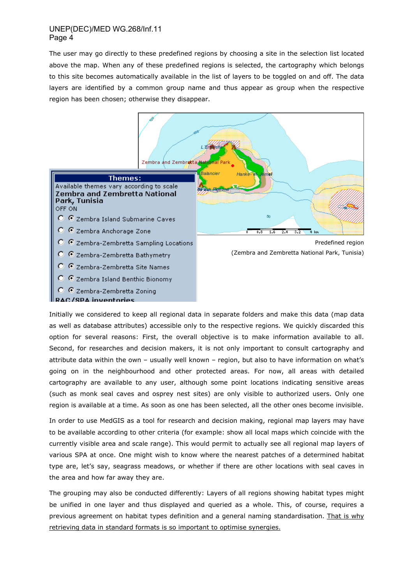The user may go directly to these predefined regions by choosing a site in the selection list located above the map. When any of these predefined regions is selected, the cartography which belongs to this site becomes automatically available in the list of layers to be toggled on and off. The data layers are identified by a common group name and thus appear as group when the respective region has been chosen; otherwise they disappear.



Initially we considered to keep all regional data in separate folders and make this data (map data as well as database attributes) accessible only to the respective regions. We quickly discarded this option for several reasons: First, the overall objective is to make information available to all. Second, for researches and decision makers, it is not only important to consult cartography and attribute data within the own – usually well known – region, but also to have information on what's going on in the neighbourhood and other protected areas. For now, all areas with detailed cartography are available to any user, although some point locations indicating sensitive areas (such as monk seal caves and osprey nest sites) are only visible to authorized users. Only one region is available at a time. As soon as one has been selected, all the other ones become invisible.

In order to use MedGIS as a tool for research and decision making, regional map layers may have to be available according to other criteria (for example: show all local maps which coincide with the currently visible area and scale range). This would permit to actually see all regional map layers of various SPA at once. One might wish to know where the nearest patches of a determined habitat type are, let's say, seagrass meadows, or whether if there are other locations with seal caves in the area and how far away they are.

The grouping may also be conducted differently: Layers of all regions showing habitat types might be unified in one layer and thus displayed and queried as a whole. This, of course, requires a previous agreement on habitat types definition and a general naming standardisation. That is why retrieving data in standard formats is so important to optimise synergies.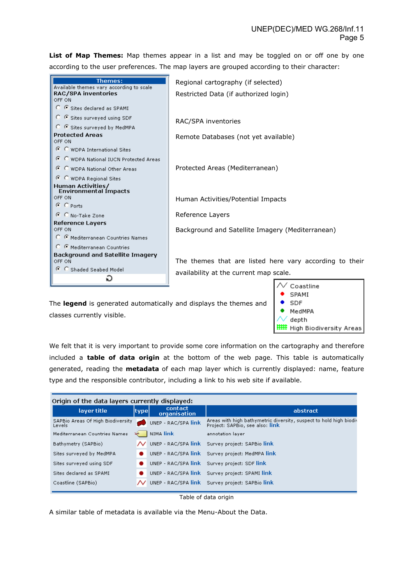List of Map Themes: Map themes appear in a list and may be toggled on or off one by one according to the user preferences. The map layers are grouped according to their character:



The **legend** is generated automatically and displays the themes and classes currently visible.



We felt that it is very important to provide some core information on the cartography and therefore included a **table of data origin** at the bottom of the web page. This table is automatically generated, reading the **metadata** of each map layer which is currently displayed: name, feature type and the responsible contributor, including a link to his web site if available.

| Origin of the data layers currently displayed: |  |                         |                                                                                                       |  |  |  |  |  |  |
|------------------------------------------------|--|-------------------------|-------------------------------------------------------------------------------------------------------|--|--|--|--|--|--|
| layer title<br>type                            |  | contact<br>organisation | abstract                                                                                              |  |  |  |  |  |  |
| SAPBio Areas Of High Biodiversity<br>Levels    |  | UNEP - RAC/SPA link     | Areas with high bathymetric diversity, suspect to hold high biodiv<br>Project: SAPBio, see also: link |  |  |  |  |  |  |
| Mediterranean Countries Names                  |  | I NIMA link             | annotation layer                                                                                      |  |  |  |  |  |  |
| Bathymetry (SAPBio)                            |  |                         | UNEP - RAC/SPA link Survey project: SAPBio link                                                       |  |  |  |  |  |  |
| Sites surveyed by MedMPA                       |  |                         | UNEP - RAC/SPA link Survey project: MedMPA link                                                       |  |  |  |  |  |  |
| Sites surveyed using SDF                       |  |                         | UNEP - RAC/SPA link Survey project: SDF link                                                          |  |  |  |  |  |  |
| Sites declared as SPAMI                        |  |                         | UNEP - RAC/SPA link Survey project: SPAMI link                                                        |  |  |  |  |  |  |
| Coastline (SAPBio)                             |  |                         | UNEP - RAC/SPA link Survey project: SAPBio link                                                       |  |  |  |  |  |  |

Table of data origin

A similar table of metadata is available via the Menu-About the Data.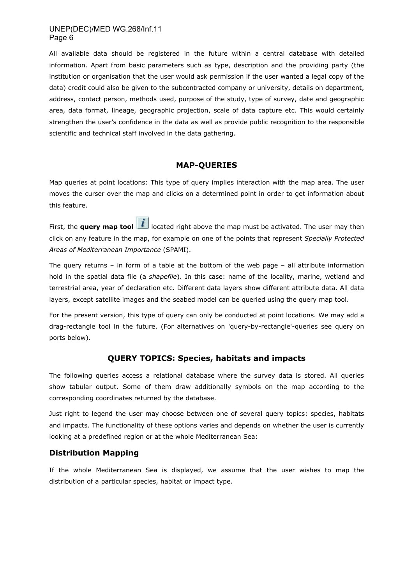All available data should be registered in the future within a central database with detailed information. Apart from basic parameters such as type, description and the providing party (the institution or organisation that the user would ask permission if the user wanted a legal copy of the data) credit could also be given to the subcontracted company or university, details on department, address, contact person, methods used, purpose of the study, type of survey, date and geographic area, data format, lineage, geographic projection, scale of data capture etc. This would certainly strengthen the user's confidence in the data as well as provide public recognition to the responsible scientific and technical staff involved in the data gathering.

# **MAP-QUERIES**

Map queries at point locations: This type of query implies interaction with the map area. The user moves the curser over the map and clicks on a determined point in order to get information about this feature.

First, the **query map tool i** located right above the map must be activated. The user may then click on any feature in the map, for example on one of the points that represent *Specially Protected Areas of Mediterranean Importance* (SPAMI).

The query returns – in form of a table at the bottom of the web page – all attribute information hold in the spatial data file (a *shapefile*). In this case: name of the locality, marine, wetland and terrestrial area, year of declaration etc. Different data layers show different attribute data. All data layers, except satellite images and the seabed model can be queried using the query map tool.

For the present version, this type of query can only be conducted at point locations. We may add a drag-rectangle tool in the future. (For alternatives on 'query-by-rectangle'-queries see query on ports below).

# **QUERY TOPICS: Species, habitats and impacts**

The following queries access a relational database where the survey data is stored. All queries show tabular output. Some of them draw additionally symbols on the map according to the corresponding coordinates returned by the database.

Just right to legend the user may choose between one of several query topics: species, habitats and impacts. The functionality of these options varies and depends on whether the user is currently looking at a predefined region or at the whole Mediterranean Sea:

# **Distribution Mapping**

If the whole Mediterranean Sea is displayed, we assume that the user wishes to map the distribution of a particular species, habitat or impact type.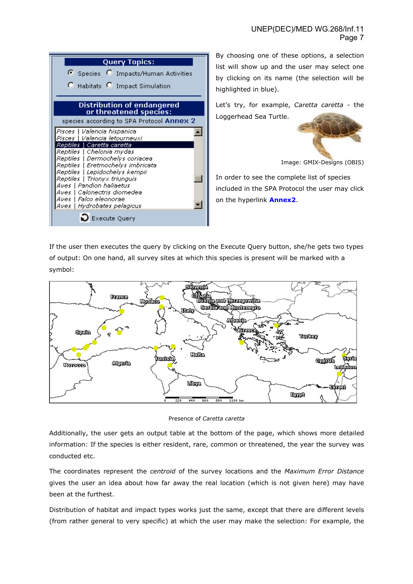| <b>Query Topics:</b>                                                                                                                                                                                                                                                                                                                                                                  |
|---------------------------------------------------------------------------------------------------------------------------------------------------------------------------------------------------------------------------------------------------------------------------------------------------------------------------------------------------------------------------------------|
| Species O Impacts/Human Activities                                                                                                                                                                                                                                                                                                                                                    |
| C Habitats C Impact Simulation                                                                                                                                                                                                                                                                                                                                                        |
| <b>Distribution of endangered</b><br>or threatened species:                                                                                                                                                                                                                                                                                                                           |
| species according to SPA Protocol Annex 2                                                                                                                                                                                                                                                                                                                                             |
| Pisces   Valencia hispanica<br>Pisces   Valencia letourneuxi<br>Reptiles   Caretta caretta<br>Reptiles   Chelonia mydas<br>Reptiles   Dermochelys coriacea<br>Reptiles   Eretmochelys imbricata<br>Reptiles   Lepidochelys kempii<br>Reptiles   Trionyx triunguis<br>Aves   Pandion haliaetus<br>Aves   Calonectris diomedea<br>Aves   Falco eleonorae<br>Aves   Hydrobates pelagicus |
| <b>Execute Query</b>                                                                                                                                                                                                                                                                                                                                                                  |

By choosing one of these options, a selection list will show up and the user may select one by clicking on its name (the selection will be highlighted in blue).

Let's try, for example, *Caretta caretta* - the Loggerhead Sea Turtle.



Image: GMIX-Designs (OBIS)

In order to see the complete list of species included in the SPA Protocol the user may click on the hyperlink **Annex2**.

If the user then executes the query by clicking on the Execute Query button, she/he gets two types of output: On one hand, all survey sites at which this species is present will be marked with a symbol:



Presence of *Caretta caretta*

Additionally, the user gets an output table at the bottom of the page, which shows more detailed information: If the species is either resident, rare, common or threatened, the year the survey was conducted etc.

The coordinates represent the *centroid* of the survey locations and the *Maximum Error Distance* gives the user an idea about how far away the real location (which is not given here) may have been at the furthest.

Distribution of habitat and impact types works just the same, except that there are different levels (from rather general to very specific) at which the user may make the selection: For example, the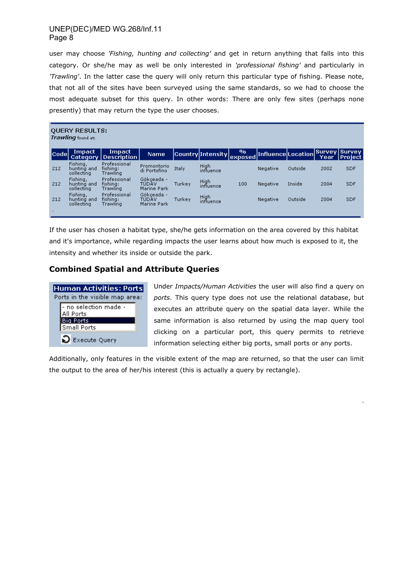user may choose *'Fishing, hunting and collecting'* and get in return anything that falls into this category. Or she/he may as well be only interested in *'professional fishing'* and particularly in *'Trawling'*. In the latter case the query will only return this particular type of fishing. Please note, that not all of the sites have been surveyed using the same standards, so we had to choose the most adequate subset for this query. In other words: There are only few sites (perhaps none presently) that may return the type the user chooses.

| <b>QUERY RESULTS:</b><br><b>Trawling</b> found at: |                                       |                                      |                                    |        |                   |                           |                    |         |      |                           |
|----------------------------------------------------|---------------------------------------|--------------------------------------|------------------------------------|--------|-------------------|---------------------------|--------------------|---------|------|---------------------------|
| lCodel                                             | Impact<br><b>Category</b>             | <b>Impact</b><br><b>Description</b>  | <b>Name</b>                        |        | Country Intensity | $\mathbf{v}_0$<br>exposed | Influence Location |         | Year | Survey Survey<br> Project |
| 212                                                | Fishing,<br>hunting and<br>collecting | Professional<br>fishing:<br>Trawling | Promontorio<br>di Portofino        | Italy  | High<br>influence |                           | Negative           | Outside | 2002 | <b>SDF</b>                |
| 212                                                | Fishing,<br>hunting and<br>collecting | Professional<br>fishing:<br>Trawling | Gökceada -<br>TÜDÄV<br>Marine Park | Turkey | High<br>influence | 100                       | Negative           | Inside  | 2004 | <b>SDF</b>                |
| 212                                                | Fishing,<br>hunting and<br>collecting | Professional<br>fishing:<br>Trawling | Gökceada -<br>TÜDÄV<br>Marine Park | Turkey | High<br>influence |                           | Negative           | Outside | 2004 | <b>SDF</b>                |
|                                                    |                                       |                                      |                                    |        |                   |                           |                    |         |      |                           |

If the user has chosen a habitat type, she/he gets information on the area covered by this habitat and it's importance, while regarding impacts the user learns about how much is exposed to it, the intensity and whether its inside or outside the park.

# **Combined Spatial and Attribute Queries**



Under *Impacts/Human Activities* the user will also find a query on *ports*. This query type does not use the relational database, but executes an attribute query on the spatial data layer. While the same information is also returned by using the map query tool clicking on a particular port, this query permits to retrieve information selecting either big ports, small ports or any ports.

.

Additionally, only features in the visible extent of the map are returned, so that the user can limit the output to the area of her/his interest (this is actually a query by rectangle).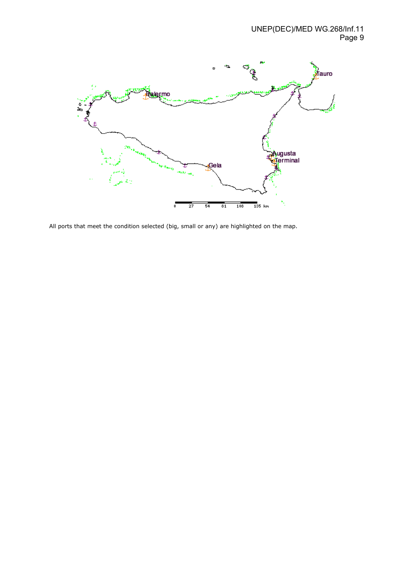

All ports that meet the condition selected (big, small or any) are highlighted on the map.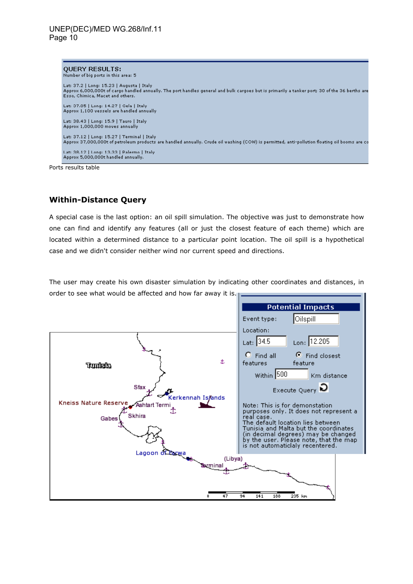

Ports results table

# **Within-Distance Query**

A special case is the last option: an oil spill simulation. The objective was just to demonstrate how one can find and identify any features (all or just the closest feature of each theme) which are located within a determined distance to a particular point location. The oil spill is a hypothetical case and we didn't consider neither wind nor current speed and directions.

The user may create his own disaster simulation by indicating other coordinates and distances, in order to see what would be affected and how far away it is.

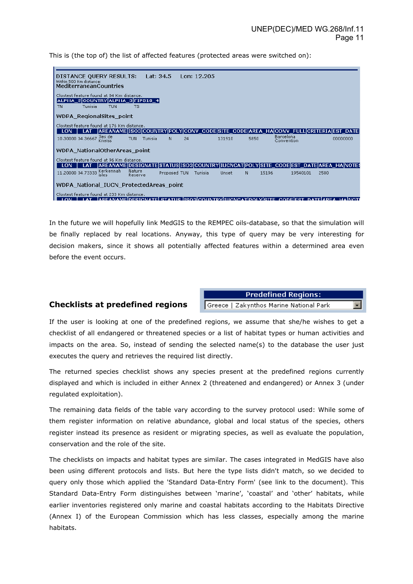This is (the top of) the list of affected features (protected areas were switched on):

| DISTANCE QUERY RESULTS:<br>Within 500 Km distance:<br><b>MediterraneanCountries</b>                            |                       | Lat: 34.5    |    | Lon: 12.205 |                     |      |       |                                                                                                   |      |                   |
|----------------------------------------------------------------------------------------------------------------|-----------------------|--------------|----|-------------|---------------------|------|-------|---------------------------------------------------------------------------------------------------|------|-------------------|
| Clostest feature found at 84 Km distance.<br> ALPHA_2 COUNTRY ALPHA_3 FIPS10_4 <br>Tunisia<br><b>TUN</b><br>TN | тs                    |              |    |             |                     |      |       |                                                                                                   |      |                   |
| <b>WDPA RegionalSites point</b>                                                                                |                       |              |    |             |                     |      |       |                                                                                                   |      |                   |
| Clostest feature found at 176 Km distance.                                                                     |                       |              |    |             |                     |      |       | AREANAME ISO3 COUNTRY POLY CONV_CODE SITE_CODE AREA_HA CONV_FULL CRITERIA EST_DATE                |      |                   |
| 10.30000 34.36667 Iles de<br>Kneiss                                                                            | Tunisia<br><b>TUN</b> | N            | 24 |             | 131910              | 5850 |       | Barcelona<br>Convention                                                                           |      | 00000000          |
| WDPA NationalOtherAreas point                                                                                  |                       |              |    |             |                     |      |       |                                                                                                   |      |                   |
| Clostest feature found at 96 Km distance.                                                                      |                       |              |    |             |                     |      |       |                                                                                                   |      |                   |
| I AT<br>11.20000 34.73333 Kerkennah<br>isles                                                                   | Nature<br>Reserve     | Proposed TUN |    | Tunisia     | Unset               | Ν    | 15196 | AREANAME DESIGNATE STATUS ISO3 COUNTRY IUCNCAT POLY SITE CODE EST DATE AREA HA NOTE\$<br>19540101 | 2500 |                   |
| WDPA National IUCN ProtectedAreas point                                                                        |                       |              |    |             |                     |      |       |                                                                                                   |      |                   |
| Clostest feature found at 233 Km distance.<br><b>ADEANAMEIDESICNATE</b>                                        |                       |              |    |             | πιονογετίσοι γίαττε |      |       | <b>CODELECT</b>                                                                                   |      | DATE AREA HAINOTI |

In the future we will hopefully link MedGIS to the REMPEC oils-database, so that the simulation will be finally replaced by real locations. Anyway, this type of query may be very interesting for decision makers, since it shows all potentially affected features within a determined area even before the event occurs.

### **Checklists at predefined regions**

**Predefined Regions:** Greece | Zakynthos Marine National Park

If the user is looking at one of the predefined regions, we assume that she/he wishes to get a checklist of all endangered or threatened species or a list of habitat types or human activities and impacts on the area. So, instead of sending the selected name(s) to the database the user just executes the query and retrieves the required list directly.

The returned species checklist shows any species present at the predefined regions currently displayed and which is included in either Annex 2 (threatened and endangered) or Annex 3 (under regulated exploitation).

The remaining data fields of the table vary according to the survey protocol used: While some of them register information on relative abundance, global and local status of the species, others register instead its presence as resident or migrating species, as well as evaluate the population, conservation and the role of the site.

The checklists on impacts and habitat types are similar. The cases integrated in MedGIS have also been using different protocols and lists. But here the type lists didn't match, so we decided to query only those which applied the 'Standard Data-Entry Form' (see link to the document). This Standard Data-Entry Form distinguishes between 'marine', 'coastal' and 'other' habitats, while earlier inventories registered only marine and coastal habitats according to the Habitats Directive (Annex I) of the European Commission which has less classes, especially among the marine habitats.